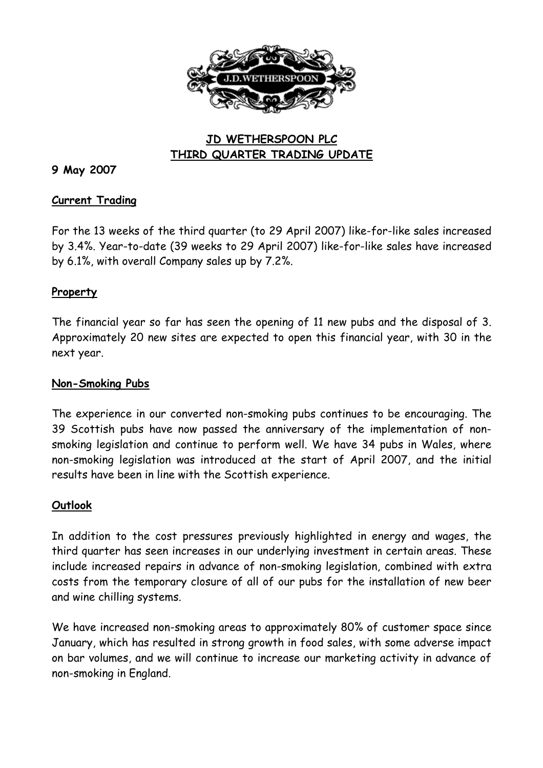

# **JD WETHERSPOON PLC THIRD QUARTER TRADING UPDATE**

## **9 May 2007**

#### **Current Trading**

For the 13 weeks of the third quarter (to 29 April 2007) like-for-like sales increased by 3.4%. Year-to-date (39 weeks to 29 April 2007) like-for-like sales have increased by 6.1%, with overall Company sales up by 7.2%.

#### **Property**

The financial year so far has seen the opening of 11 new pubs and the disposal of 3. Approximately 20 new sites are expected to open this financial year, with 30 in the next year.

### **Non-Smoking Pubs**

The experience in our converted non-smoking pubs continues to be encouraging. The 39 Scottish pubs have now passed the anniversary of the implementation of nonsmoking legislation and continue to perform well. We have 34 pubs in Wales, where non-smoking legislation was introduced at the start of April 2007, and the initial results have been in line with the Scottish experience.

#### **Outlook**

In addition to the cost pressures previously highlighted in energy and wages, the third quarter has seen increases in our underlying investment in certain areas. These include increased repairs in advance of non-smoking legislation, combined with extra costs from the temporary closure of all of our pubs for the installation of new beer and wine chilling systems.

We have increased non-smoking areas to approximately 80% of customer space since January, which has resulted in strong growth in food sales, with some adverse impact on bar volumes, and we will continue to increase our marketing activity in advance of non-smoking in England.